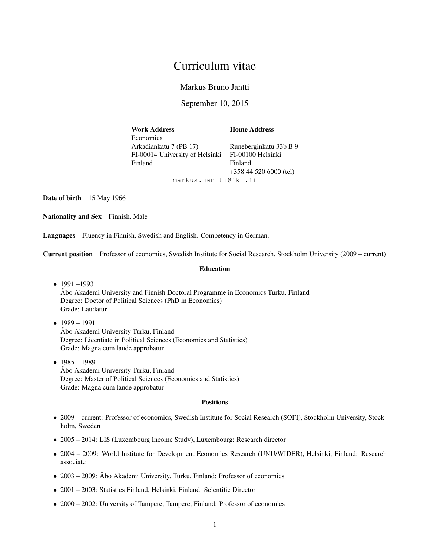# Curriculum vitae

Markus Bruno Jäntti

September 10, 2015

<span id="page-0-0"></span>Work Address **Home Address Economics** Arkadiankatu 7 (PB 17) Runeberginkatu 33b B 9 FI-00014 University of Helsinki FI-00100 Helsinki Finland Finland +358 44 520 6000 (tel)

markus.jantti@iki.fi

Date of birth 15 May 1966

Nationality and Sex Finnish, Male

Languages Fluency in Finnish, Swedish and English. Competency in German.

Current position Professor of economics, Swedish Institute for Social Research, Stockholm University (2009 – current)

#### Education

• 1991 –1993

Åbo Akademi University and Finnish Doctoral Programme in Economics Turku, Finland Degree: Doctor of Political Sciences (PhD in Economics) Grade: Laudatur

- $1989 1991$ Åbo Akademi University Turku, Finland Degree: Licentiate in Political Sciences (Economics and Statistics) Grade: Magna cum laude approbatur
- $1985 1989$ Åbo Akademi University Turku, Finland Degree: Master of Political Sciences (Economics and Statistics) Grade: Magna cum laude approbatur

# **Positions**

- 2009 current: Professor of economics, Swedish Institute for Social Research (SOFI), Stockholm University, Stockholm, Sweden
- 2005 2014: LIS (Luxembourg Income Study), Luxembourg: Research director
- 2004 2009: World Institute for Development Economics Research (UNU/WIDER), Helsinki, Finland: Research associate
- 2003 2009: Åbo Akademi University, Turku, Finland: Professor of economics
- 2001 2003: Statistics Finland, Helsinki, Finland: Scientific Director
- 2000 2002: University of Tampere, Tampere, Finland: Professor of economics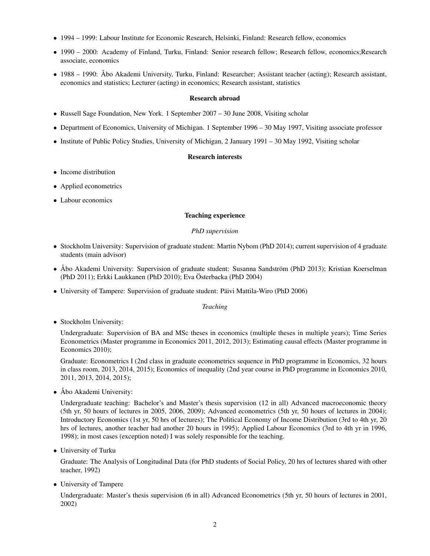- 1994 1999: Labour Institute for Economic Research, Helsinki, Finland: Research fellow, economics
- 1990 2000: Academy of Finland, Turku, Finland: Senior research fellow; Research fellow, economics;Research associate, economics
- 1988 1990: Åbo Akademi University, Turku, Finland: Researcher; Assistant teacher (acting); Research assistant, economics and statistics; Lecturer (acting) in economics; Research assistant, statistics

# Research abroad

- Russell Sage Foundation, New York. 1 September 2007 30 June 2008, Visiting scholar
- Department of Economics, University of Michigan. 1 September 1996 30 May 1997, Visiting associate professor
- Institute of Public Policy Studies, University of Michigan, 2 January 1991 30 May 1992, Visiting scholar

# Research interests

- Income distribution
- Applied econometrics
- Labour economics

# Teaching experience

# *PhD supervision*

- Stockholm University: Supervision of graduate student: Martin Nybom (PhD 2014); current supervision of 4 graduate students (main advisor)
- Åbo Akademi University: Supervision of graduate student: Susanna Sandström (PhD 2013); Kristian Koerselman (PhD 2011); Erkki Laukkanen (PhD 2010); Eva Österbacka (PhD 2004)
- University of Tampere: Supervision of graduate student: Päivi Mattila-Wiro (PhD 2006)

*Teaching*

• Stockholm University:

Undergraduate: Supervision of BA and MSc theses in economics (multiple theses in multiple years); Time Series Econometrics (Master programme in Economics 2011, 2012, 2013); Estimating causal effects (Master programme in Economics 2010);

Graduate: Econometrics I (2nd class in graduate econometrics sequence in PhD programme in Economics, 32 hours in class room, 2013, 2014, 2015); Economics of inequality (2nd year course in PhD programme in Economics 2010, 2011, 2013, 2014, 2015);

• Åbo Akademi University:

Undergraduate teaching: Bachelor's and Master's thesis supervision (12 in all) Advanced macroeconomic theory (5th yr, 50 hours of lectures in 2005, 2006, 2009); Advanced econometrics (5th yr, 50 hours of lectures in 2004); Introductory Economics (1st yr, 50 hrs of lectures); The Political Economy of Income Distribution (3rd to 4th yr, 20 hrs of lectures, another teacher had another 20 hours in 1995); Applied Labour Economics (3rd to 4th yr in 1996, 1998); in most cases (exception noted) I was solely responsible for the teaching.

• University of Turku

Graduate: The Analysis of Longitudinal Data (for PhD students of Social Policy, 20 hrs of lectures shared with other teacher, 1992)

• University of Tampere

Undergraduate: Master's thesis supervision (6 in all) Advanced Econometrics (5th yr, 50 hours of lectures in 2001, 2002)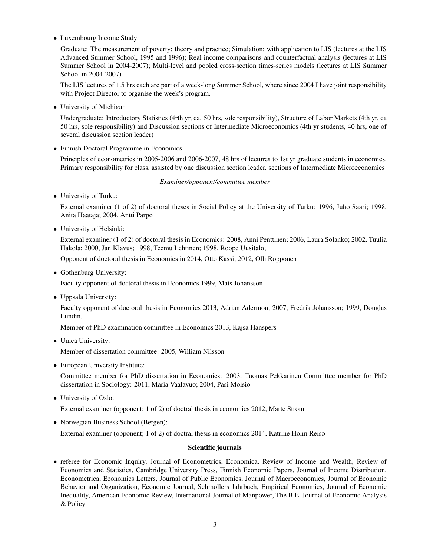• Luxembourg Income Study

Graduate: The measurement of poverty: theory and practice; Simulation: with application to LIS (lectures at the LIS Advanced Summer School, 1995 and 1996); Real income comparisons and counterfactual analysis (lectures at LIS Summer School in 2004-2007); Multi-level and pooled cross-section times-series models (lectures at LIS Summer School in 2004-2007)

The LIS lectures of 1.5 hrs each are part of a week-long Summer School, where since 2004 I have joint responsibility with Project Director to organise the week's program.

• University of Michigan

Undergraduate: Introductory Statistics (4rth yr, ca. 50 hrs, sole responsibility), Structure of Labor Markets (4th yr, ca 50 hrs, sole responsibility) and Discussion sections of Intermediate Microeconomics (4th yr students, 40 hrs, one of several discussion section leader)

• Finnish Doctoral Programme in Economics

Principles of econometrics in 2005-2006 and 2006-2007, 48 hrs of lectures to 1st yr graduate students in economics. Primary responsibility for class, assisted by one discussion section leader. sections of Intermediate Microeconomics

# *Examiner/opponent/committee member*

• University of Turku:

External examiner (1 of 2) of doctoral theses in Social Policy at the University of Turku: 1996, Juho Saari; 1998, Anita Haataja; 2004, Antti Parpo

• University of Helsinki:

External examiner (1 of 2) of doctoral thesis in Economics: 2008, Anni Penttinen; 2006, Laura Solanko; 2002, Tuulia Hakola; 2000, Jan Klavus; 1998, Teemu Lehtinen; 1998, Roope Uusitalo;

Opponent of doctoral thesis in Economics in 2014, Otto Kässi; 2012, Olli Ropponen

• Gothenburg University:

Faculty opponent of doctoral thesis in Economics 1999, Mats Johansson

• Uppsala University:

Faculty opponent of doctoral thesis in Economics 2013, Adrian Adermon; 2007, Fredrik Johansson; 1999, Douglas Lundin.

Member of PhD examination committee in Economics 2013, Kajsa Hanspers

• Umeå University:

Member of dissertation committee: 2005, William Nilsson

• European University Institute:

Committee member for PhD dissertation in Economics: 2003, Tuomas Pekkarinen Committee member for PhD dissertation in Sociology: 2011, Maria Vaalavuo; 2004, Pasi Moisio

• University of Oslo:

External examiner (opponent; 1 of 2) of doctral thesis in economics 2012, Marte Ström

• Norwegian Business School (Bergen):

External examiner (opponent; 1 of 2) of doctral thesis in economics 2014, Katrine Holm Reiso

# Scientific journals

• referee for Economic Inquiry, Journal of Econometrics, Economica, Review of Income and Wealth, Review of Economics and Statistics, Cambridge University Press, Finnish Economic Papers, Journal of Income Distribution, Econometrica, Economics Letters, Journal of Public Economics, Journal of Macroeconomics, Journal of Economic Behavior and Organization, Economic Journal, Schmollers Jahrbuch, Empirical Economics, Journal of Economic Inequality, American Economic Review, International Journal of Manpower, The B.E. Journal of Economic Analysis & Policy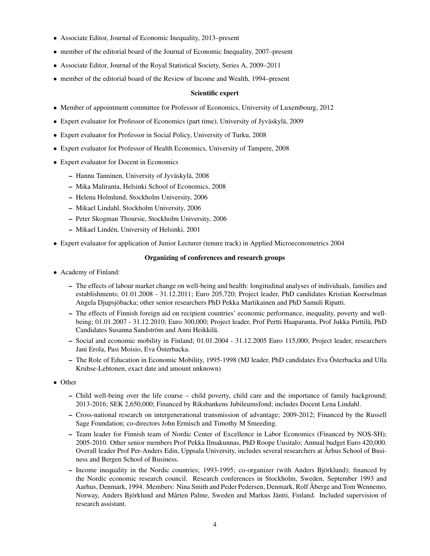- Associate Editor, Journal of Economic Inequality, 2013–present
- member of the editorial board of the Journal of Economic Inequality, 2007–present
- Associate Editor, Journal of the Royal Statistical Society, Series A, 2009–2011
- member of the editorial board of the Review of Income and Wealth, 1994–present

## Scientific expert

- Member of appointment committee for Professor of Economics, University of Luxembourg, 2012
- Expert evaluator for Professor of Economics (part time), University of Jyväskylä, 2009
- Expert evaluator for Professor in Social Policy, University of Turku, 2008
- Expert evaluator for Professor of Health Economics, University of Tampere, 2008
- Expert evaluator for Docent in Economics
	- Hannu Tanninen, University of Jyväskylä, 2008
	- Mika Maliranta, Helsinki School of Economics, 2008
	- Helena Holmlund, Stockholm University, 2006
	- Mikael Lindahl, Stockholm University, 2006
	- Peter Skogman Thoursie, Stockholm University, 2006
	- Mikael Lindén, University of Helsinki, 2001
- Expert evaluator for application of Junior Lecturer (tenure track) in Applied Microeconometrics 2004

## Organizing of conferences and research groups

- Academy of Finland:
	- The effects of labour market change on well-being and health: longitudinal analyses of individuals, families and establishments; 01.01.2008 - 31.12.2011; Euro 205,720; Project leader, PhD candidates Kristian Koerselman Angela Djupsjöbacka; other senior researchers PhD Pekka Martikainen and PhD Samuli Ripatti.
	- The effects of Finnish foreign aid on recipient countries' economic performance, inequality, poverty and wellbeing; 01.01.2007 - 31.12.2010; Euro 300,000; Project leader, Prof Pertti Haaparanta, Prof Jukka Pirttilä, PhD Candidates Susanna Sandström and Anni Heikkilä.
	- Social and economic mobility in Finland; 01.01.2004 31.12.2005 Euro 115,000; Project leader, researchers Jani Erola, Pasi Moisio, Eva Österbacka.
	- The Role of Education in Economic Mobility, 1995-1998 (MJ leader, PhD candidates Eva Österbacka and Ulla Kruhse-Lehtonen, exact date and amount unknown)
- Other
	- Child well-being over the life course child poverty, child care and the importance of family background; 2013-2016; SEK 2,650,000; Financed by Riksbankens Jubileumsfond; includes Docent Lena Lindahl.
	- Cross-national research on intergenerational transmission of advantage; 2009-2012; Financed by the Russell Sage Foundation; co-directors John Ermisch and Timothy M Smeeding.
	- Team leader for Finnish team of Nordic Center of Excellence in Labor Economics (Financed by NOS-SH); 2005-2010. Other senior members Prof Pekka Ilmakunnas, PhD Roope Uusitalo; Annual budget Euro 420,000. Overall leader Prof Per-Anders Edin, Uppsala University, includes several researchers at Århus School of Business and Bergen School of Business.
	- Income inequality in the Nordic countries; 1993-1995; co-organizer (with Anders Björklund); financed by the Nordic economic research council. Research conferences in Stockholm, Sweden, September 1993 and Aarhus, Denmark, 1994. Members: Nina Smith and Peder Pedersen, Denmark, Rolf Åberge and Tom Wennemo, Norway, Anders Björklund and Mårten Palme, Sweden and Markus Jäntti, Finland. Included supervision of research assistant.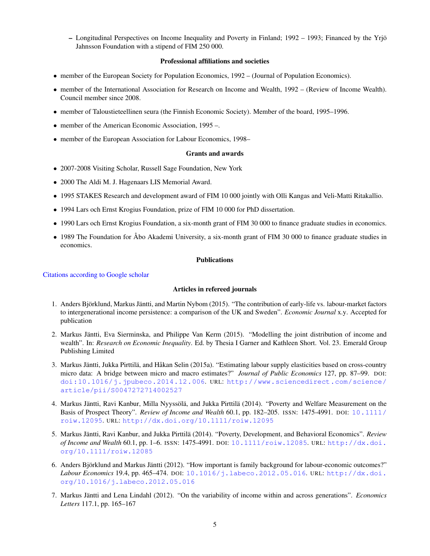– Longitudinal Perspectives on Income Inequality and Poverty in Finland; 1992 – 1993; Financed by the Yrjö Jahnsson Foundation with a stipend of FIM 250 000.

# Professional affiliations and societies

- member of the European Society for Population Economics, 1992 (Journal of Population Economics).
- member of the International Association for Research on Income and Wealth, 1992 (Review of Income Wealth). Council member since 2008.
- member of Taloustieteellinen seura (the Finnish Economic Society). Member of the board, 1995–1996.
- member of the American Economic Association, 1995 –.
- member of the European Association for Labour Economics, 1998–

## Grants and awards

- 2007-2008 Visiting Scholar, Russell Sage Foundation, New York
- 2000 The Aldi M. J. Hagenaars LIS Memorial Award.
- 1995 STAKES Research and development award of FIM 10 000 jointly with Olli Kangas and Veli-Matti Ritakallio.
- 1994 Lars och Ernst Krogius Foundation, prize of FIM 10 000 for PhD dissertation.
- 1990 Lars och Ernst Krogius Foundation, a six-month grant of FIM 30 000 to finance graduate studies in economics.
- 1989 The Foundation for Åbo Akademi University, a six-month grant of FIM 30 000 to finance graduate studies in economics.

# Publications

## [Citations according to Google scholar](http://scholar.google.se/citations?user=OhrsZ3MAAAAJ&hl=en)

# Articles in refereed journals

- 1. Anders Björklund, Markus Jäntti, and Martin Nybom (2015). "The contribution of early-life vs. labour-market factors to intergenerational income persistence: a comparison of the UK and Sweden". *Economic Journal* x.y. Accepted for publication
- 2. Markus Jäntti, Eva Sierminska, and Philippe Van Kerm (2015). "Modelling the joint distribution of income and wealth". In: *Research on Economic Inequality*. Ed. by Thesia I Garner and Kathleen Short. Vol. 23. Emerald Group Publishing Limited
- 3. Markus Jäntti, Jukka Pirttilä, and Håkan Selin (2015a). "Estimating labour supply elasticities based on cross-country micro data: A bridge between micro and macro estimates?" *Journal of Public Economics* 127, pp. 87–99. DOI: [doi:10.1016/j.jpubeco.2014.12.006](http://dx.doi.org/doi:10.1016/j.jpubeco.2014.12.006). URL: [http://www.sciencedirect.com/science/](http://www.sciencedirect.com/science/article/pii/S0047272714002527) [article/pii/S0047272714002527](http://www.sciencedirect.com/science/article/pii/S0047272714002527)
- 4. Markus Jäntti, Ravi Kanbur, Milla Nyyssölä, and Jukka Pirttilä (2014). "Poverty and Welfare Measurement on the Basis of Prospect Theory". *Review of Income and Wealth* 60.1, pp. 182–205. ISSN: 1475-4991. DOI: [10.1111/](http://dx.doi.org/10.1111/roiw.12095) [roiw.12095](http://dx.doi.org/10.1111/roiw.12095). URL: <http://dx.doi.org/10.1111/roiw.12095>
- 5. Markus Jäntti, Ravi Kanbur, and Jukka Pirttilä (2014). "Poverty, Development, and Behavioral Economics". *Review of Income and Wealth* 60.1, pp. 1–6. ISSN: 1475-4991. DOI: [10.1111/roiw.12085](http://dx.doi.org/10.1111/roiw.12085). URL: [http://dx.doi.](http://dx.doi.org/10.1111/roiw.12085) [org/10.1111/roiw.12085](http://dx.doi.org/10.1111/roiw.12085)
- 6. Anders Björklund and Markus Jäntti (2012). "How important is family background for labour-economic outcomes?" *Labour Economics* 19.4, pp. 465–474. DOI: [10.1016/j.labeco.2012.05.016](http://dx.doi.org/10.1016/j.labeco.2012.05.016). URL: [http://dx.doi.](http://dx.doi.org/10.1016/j.labeco.2012.05.016) [org/10.1016/j.labeco.2012.05.016](http://dx.doi.org/10.1016/j.labeco.2012.05.016)
- 7. Markus Jäntti and Lena Lindahl (2012). "On the variability of income within and across generations". *Economics Letters* 117.1, pp. 165–167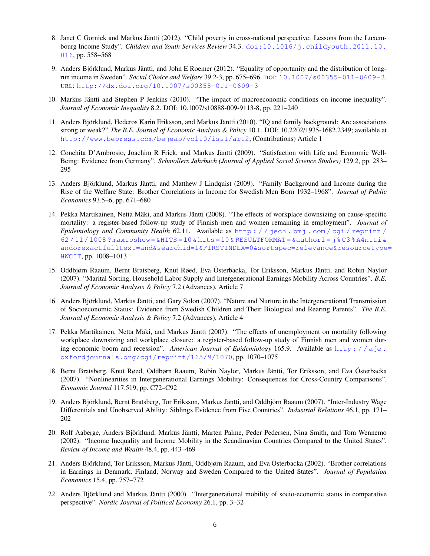- 8. Janet C Gornick and Markus Jäntti (2012). "Child poverty in cross-national perspective: Lessons from the Luxembourg Income Study". *Children and Youth Services Review* 34.3. [doi:10.1016/j.childyouth.2011.10.](doi:10.1016/j.childyouth.2011.10.016) [016](doi:10.1016/j.childyouth.2011.10.016), pp. 558–568
- 9. Anders Björklund, Markus Jäntti, and John E Roemer (2012). "Equality of opportunity and the distribution of longrun income in Sweden". *Social Choice and Welfare* 39.2-3, pp. 675–696. DOI: [10.1007/s00355-011-0609-3](http://dx.doi.org/10.1007/s00355-011-0609-3). URL: <http://dx.doi.org/10.1007/s00355-011-0609-3>
- 10. Markus Jäntti and Stephen P Jenkins (2010). "The impact of macroeconomic conditions on income inequality". *Journal of Economic Inequality* 8.2. DOI: 10.1007/s10888-009-9113-8, pp. 221–240
- 11. Anders Björklund, Hederos Karin Eriksson, and Markus Jäntti (2010). "IQ and family background: Are associations strong or weak?" *The B.E. Journal of Economic Analysis & Policy* 10.1. DOI: 10.2202/1935-1682.2349; available at <http://www.bepress.com/bejeap/vol10/iss1/art2>, (Contributions) Article 1
- 12. Conchita D'Ambrosio, Joachim R Frick, and Markus Jäntti (2009). "Satisfaction with Life and Economic Well-Being: Evidence from Germany". *Schmollers Jahrbuch (Journal of Applied Social Science Studies)* 129.2, pp. 283– 295
- 13. Anders Björklund, Markus Jäntti, and Matthew J Lindquist (2009). "Family Background and Income during the Rise of the Welfare State: Brother Correlations in Income for Swedish Men Born 1932–1968". *Journal of Public Economics* 93.5–6, pp. 671–680
- 14. Pekka Martikainen, Netta Mäki, and Markus Jäntti (2008). "The effects of workplace downsizing on cause-specific mortality: a register-based follow-up study of Finnish men and women remaining in employment". *Journal of Epidemiology and Community Health* 62.11. Available as [http : / / jech . bmj . com / cgi / reprint /](http://jech.bmj.com/cgi/reprint/62/11/1008?maxtoshow=&HITS=10&hits=10&RESULTFORMAT=&author1=j%C3%A4ntti&andorexactfulltext=and&searchid=1&FIRSTINDEX=0&sortspec=relevance&resourcetype=HWCIT) [62 / 11 / 1008 ? maxtoshow = &HITS = 10 & hits = 10 & RESULTFORMAT = &author1 = j % C3 % A4ntti &](http://jech.bmj.com/cgi/reprint/62/11/1008?maxtoshow=&HITS=10&hits=10&RESULTFORMAT=&author1=j%C3%A4ntti&andorexactfulltext=and&searchid=1&FIRSTINDEX=0&sortspec=relevance&resourcetype=HWCIT) [andorexactfulltext=and&searchid=1&FIRSTINDEX=0&sortspec=relevance&resourcetype](http://jech.bmj.com/cgi/reprint/62/11/1008?maxtoshow=&HITS=10&hits=10&RESULTFORMAT=&author1=j%C3%A4ntti&andorexactfulltext=and&searchid=1&FIRSTINDEX=0&sortspec=relevance&resourcetype=HWCIT)= [HWCIT](http://jech.bmj.com/cgi/reprint/62/11/1008?maxtoshow=&HITS=10&hits=10&RESULTFORMAT=&author1=j%C3%A4ntti&andorexactfulltext=and&searchid=1&FIRSTINDEX=0&sortspec=relevance&resourcetype=HWCIT), pp. 1008–1013
- 15. Oddbjørn Raaum, Bernt Bratsberg, Knut Røed, Eva Österbacka, Tor Eriksson, Markus Jäntti, and Robin Naylor (2007). "Marital Sorting, Household Labor Supply and Intergenerational Earnings Mobility Across Countries". *B.E. Journal of Economic Analysis & Policy* 7.2 (Advances), Article 7
- 16. Anders Björklund, Markus Jäntti, and Gary Solon (2007). "Nature and Nurture in the Intergenerational Transmission of Socioeconomic Status: Evidence from Swedish Children and Their Biological and Rearing Parents". *The B.E. Journal of Economic Analysis & Policy* 7.2 (Advances), Article 4
- 17. Pekka Martikainen, Netta Mäki, and Markus Jäntti (2007). "The effects of unemployment on mortality following workplace downsizing and workplace closure: a register-based follow-up study of Finnish men and women during economic boom and recession". *American Journal of Epidemiology* 165.9. Available as [http : / / aje .](http://aje.oxfordjournals.org/cgi/reprint/165/9/1070) [oxfordjournals.org/cgi/reprint/165/9/1070](http://aje.oxfordjournals.org/cgi/reprint/165/9/1070), pp. 1070–1075
- 18. Bernt Bratsberg, Knut Røed, Oddbørn Raaum, Robin Naylor, Markus Jäntti, Tor Eriksson, and Eva Österbacka (2007). "Nonlinearities in Intergenerational Earnings Mobility: Consequences for Cross-Country Comparisons". *Economic Journal* 117.519, pp. C72–C92
- 19. Anders Björklund, Bernt Bratsberg, Tor Eriksson, Markus Jäntti, and Oddbjörn Raaum (2007). "Inter-Industry Wage Differentials and Unobserved Ability: Siblings Evidence from Five Countries". *Industrial Relations* 46.1, pp. 171– 202
- 20. Rolf Aaberge, Anders Björklund, Markus Jäntti, Mårten Palme, Peder Pedersen, Nina Smith, and Tom Wennemo (2002). "Income Inequality and Income Mobility in the Scandinavian Countries Compared to the United States". *Review of Income and Wealth* 48.4, pp. 443–469
- 21. Anders Björklund, Tor Eriksson, Markus Jäntti, Oddbjørn Raaum, and Eva Österbacka (2002). "Brother correlations in Earnings in Denmark, Finland, Norway and Sweden Compared to the United States". *Journal of Population Economics* 15.4, pp. 757–772
- 22. Anders Björklund and Markus Jäntti (2000). "Intergenerational mobility of socio-economic status in comparative perspective". *Nordic Journal of Political Economy* 26.1, pp. 3–32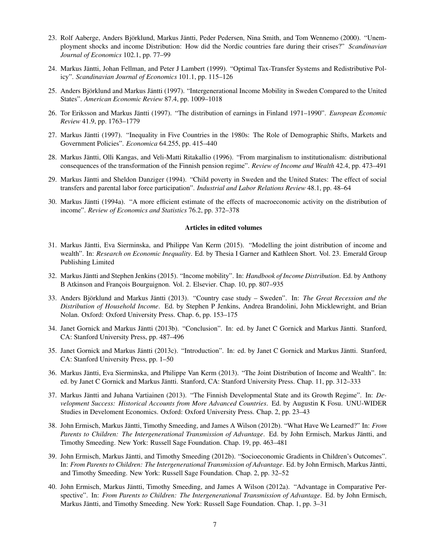- 23. Rolf Aaberge, Anders Björklund, Markus Jäntti, Peder Pedersen, Nina Smith, and Tom Wennemo (2000). "Unemployment shocks and income Distribution: How did the Nordic countries fare during their crises?" *Scandinavian Journal of Economics* 102.1, pp. 77–99
- 24. Markus Jäntti, Johan Fellman, and Peter J Lambert (1999). "Optimal Tax-Transfer Systems and Redistributive Policy". *Scandinavian Journal of Economics* 101.1, pp. 115–126
- 25. Anders Björklund and Markus Jäntti (1997). "Intergenerational Income Mobility in Sweden Compared to the United States". *American Economic Review* 87.4, pp. 1009–1018
- 26. Tor Eriksson and Markus Jäntti (1997). "The distribution of earnings in Finland 1971–1990". *European Economic Review* 41.9, pp. 1763–1779
- 27. Markus Jäntti (1997). "Inequality in Five Countries in the 1980s: The Role of Demographic Shifts, Markets and Government Policies". *Economica* 64.255, pp. 415–440
- 28. Markus Jäntti, Olli Kangas, and Veli-Matti Ritakallio (1996). "From marginalism to institutionalism: distributional consequences of the transformation of the Finnish pension regime". *Review of Income and Wealth* 42.4, pp. 473–491
- 29. Markus Jäntti and Sheldon Danziger (1994). "Child poverty in Sweden and the United States: The effect of social transfers and parental labor force participation". *Industrial and Labor Relations Review* 48.1, pp. 48–64
- 30. Markus Jäntti (1994a). "A more efficient estimate of the effects of macroeconomic activity on the distribution of income". *Review of Economics and Statistics* 76.2, pp. 372–378

#### Articles in edited volumes

- 31. Markus Jäntti, Eva Sierminska, and Philippe Van Kerm (2015). "Modelling the joint distribution of income and wealth". In: *Research on Economic Inequality*. Ed. by Thesia I Garner and Kathleen Short. Vol. 23. Emerald Group Publishing Limited
- 32. Markus Jäntti and Stephen Jenkins (2015). "Income mobility". In: *Handbook of Income Distribution*. Ed. by Anthony B Atkinson and François Bourguignon. Vol. 2. Elsevier. Chap. 10, pp. 807–935
- 33. Anders Björklund and Markus Jäntti (2013). "Country case study Sweden". In: *The Great Recession and the Distribution of Household Income*. Ed. by Stephen P Jenkins, Andrea Brandolini, John Micklewright, and Brian Nolan. Oxford: Oxford University Press. Chap. 6, pp. 153–175
- 34. Janet Gornick and Markus Jäntti (2013b). "Conclusion". In: ed. by Janet C Gornick and Markus Jäntti. Stanford, CA: Stanford University Press, pp. 487–496
- 35. Janet Gornick and Markus Jäntti (2013c). "Introduction". In: ed. by Janet C Gornick and Markus Jäntti. Stanford, CA: Stanford University Press, pp. 1–50
- 36. Markus Jäntti, Eva Sierminska, and Philippe Van Kerm (2013). "The Joint Distribution of Income and Wealth". In: ed. by Janet C Gornick and Markus Jäntti. Stanford, CA: Stanford University Press. Chap. 11, pp. 312–333
- 37. Markus Jäntti and Juhana Vartiainen (2013). "The Finnish Developmental State and its Growth Regime". In: *Development Success: Historical Accounts from More Advanced Countries*. Ed. by Augustin K Fosu. UNU-WIDER Studies in Develoment Economics. Oxford: Oxford University Press. Chap. 2, pp. 23–43
- 38. John Ermisch, Markus Jäntti, Timothy Smeeding, and James A Wilson (2012b). "What Have We Learned?" In: *From Parents to Children: The Intergenerational Transmission of Advantage*. Ed. by John Ermisch, Markus Jäntti, and Timothy Smeeding. New York: Russell Sage Foundation. Chap. 19, pp. 463–481
- 39. John Ermisch, Markus Jäntti, and Timothy Smeeding (2012b). "Socioeconomic Gradients in Children's Outcomes". In: *From Parents to Children: The Intergenerational Transmission of Advantage*. Ed. by John Ermisch, Markus Jäntti, and Timothy Smeeding. New York: Russell Sage Foundation. Chap. 2, pp. 32–52
- 40. John Ermisch, Markus Jäntti, Timothy Smeeding, and James A Wilson (2012a). "Advantage in Comparative Perspective". In: *From Parents to Children: The Intergenerational Transmission of Advantage*. Ed. by John Ermisch, Markus Jäntti, and Timothy Smeeding. New York: Russell Sage Foundation. Chap. 1, pp. 3–31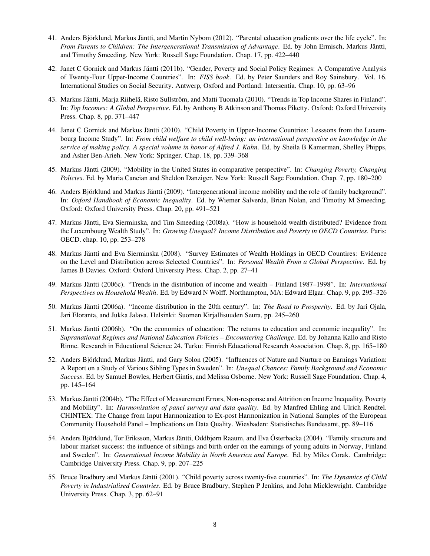- 41. Anders Björklund, Markus Jäntti, and Martin Nybom (2012). "Parental education gradients over the life cycle". In: *From Parents to Children: The Intergenerational Transmission of Advantage*. Ed. by John Ermisch, Markus Jäntti, and Timothy Smeeding. New York: Russell Sage Foundation. Chap. 17, pp. 422–440
- 42. Janet C Gornick and Markus Jäntti (2011b). "Gender, Poverty and Social Policy Regimes: A Comparative Analysis of Twenty-Four Upper-Income Countries". In: *FISS book*. Ed. by Peter Saunders and Roy Sainsbury. Vol. 16. International Studies on Social Security. Antwerp, Oxford and Portland: Intersentia. Chap. 10, pp. 63–96
- 43. Markus Jäntti, Marja Riihelä, Risto Sullström, and Matti Tuomala (2010). "Trends in Top Income Shares in Finland". In: *Top Incomes: A Global Perspective*. Ed. by Anthony B Atkinson and Thomas Piketty. Oxford: Oxford University Press. Chap. 8, pp. 371–447
- 44. Janet C Gornick and Markus Jäntti (2010). "Child Poverty in Upper-Income Countries: Lesssons from the Luxembourg Income Study". In: *From child welfare to child well-being: an international perspective on knowledge in the service of making policy. A special volume in honor of Alfred J. Kahn*. Ed. by Sheila B Kamerman, Shelley Phipps, and Asher Ben-Arieh. New York: Springer. Chap. 18, pp. 339–368
- 45. Markus Jäntti (2009). "Mobility in the United States in comparative perspective". In: *Changing Poverty, Changing Policies*. Ed. by Maria Cancian and Sheldon Danziger. New York: Russell Sage Foundation. Chap. 7, pp. 180–200
- 46. Anders Björklund and Markus Jäntti (2009). "Intergenerational income mobility and the role of family background". In: *Oxford Handbook of Economic Inequality*. Ed. by Wiemer Salverda, Brian Nolan, and Timothy M Smeeding. Oxford: Oxford University Press. Chap. 20, pp. 491–521
- 47. Markus Jäntti, Eva Sierminska, and Tim Smeeding (2008a). "How is household wealth distributed? Evidence from the Luxembourg Wealth Study". In: *Growing Unequal? Income Distribution and Poverty in OECD Countries*. Paris: OECD. chap. 10, pp. 253–278
- 48. Markus Jäntti and Eva Sierminska (2008). "Survey Estimates of Wealth Holdings in OECD Countires: Evidence on the Level and Distribution across Selected Countries". In: *Personal Wealth From a Global Perspective*. Ed. by James B Davies. Oxford: Oxford University Press. Chap. 2, pp. 27–41
- 49. Markus Jäntti (2006c). "Trends in the distribution of income and wealth Finland 1987–1998". In: *International Perspectives on Household Wealth*. Ed. by Edward N Wolff. Northampton, MA: Edward Elgar. Chap. 9, pp. 295–326
- 50. Markus Jäntti (2006a). "Income distribution in the 20th century". In: *The Road to Prosperity*. Ed. by Jari Ojala, Jari Eloranta, and Jukka Jalava. Helsinki: Suomen Kirjallisuuden Seura, pp. 245–260
- 51. Markus Jäntti (2006b). "On the economics of education: The returns to education and economic inequality". In: *Supranational Regimes and National Education Policies – Encountering Challenge*. Ed. by Johanna Kallo and Risto Rinne. Research in Educational Science 24. Turku: Finnish Educational Research Association. Chap. 8, pp. 165–180
- 52. Anders Björklund, Markus Jäntti, and Gary Solon (2005). "Influences of Nature and Nurture on Earnings Variation: A Report on a Study of Various Sibling Types in Sweden". In: *Unequal Chances: Family Background and Economic Success*. Ed. by Samuel Bowles, Herbert Gintis, and Melissa Osborne. New York: Russell Sage Foundation. Chap. 4, pp. 145–164
- 53. Markus Jäntti (2004b). "The Effect of Measurement Errors, Non-response and Attrition on Income Inequality, Poverty and Mobility". In: *Harmonisation of panel surveys and data quality*. Ed. by Manfred Ehling and Ulrich Rendtel. CHINTEX: The Change from Input Harmonization to Ex-post Harmonization in National Samples of the European Community Household Panel – Implications on Data Quality. Wiesbaden: Statistisches Bundesamt, pp. 89–116
- 54. Anders Björklund, Tor Eriksson, Markus Jäntti, Oddbjørn Raaum, and Eva Österbacka (2004). "Family structure and labour market success: the influence of siblings and birth order on the earnings of young adults in Norway, Finland and Sweden". In: *Generational Income Mobility in North America and Europe*. Ed. by Miles Corak. Cambridge: Cambridge University Press. Chap. 9, pp. 207–225
- 55. Bruce Bradbury and Markus Jäntti (2001). "Child poverty across twenty-five countries". In: *The Dynamics of Child Poverty in Industrialised Countries*. Ed. by Bruce Bradbury, Stephen P Jenkins, and John Micklewright. Cambridge University Press. Chap. 3, pp. 62–91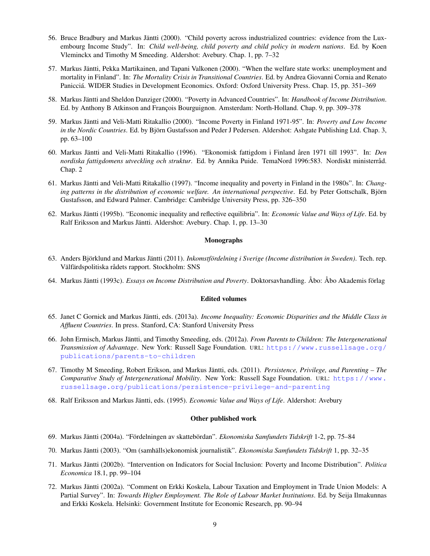- 56. Bruce Bradbury and Markus Jäntti (2000). "Child poverty across industrialized countries: evidence from the Luxembourg Income Study". In: *Child well-being, child poverty and child policy in modern nations*. Ed. by Koen Vleminckx and Timothy M Smeeding. Aldershot: Avebury. Chap. 1, pp. 7–32
- 57. Markus Jäntti, Pekka Martikainen, and Tapani Valkonen (2000). "When the welfare state works: unemployment and mortality in Finland". In: *The Mortality Crisis in Transitional Countries*. Ed. by Andrea Giovanni Cornia and Renato Panicciá. WIDER Studies in Development Economics. Oxford: Oxford University Press. Chap. 15, pp. 351–369
- 58. Markus Jäntti and Sheldon Danziger (2000). "Poverty in Advanced Countries". In: *Handbook of Income Distribution*. Ed. by Anthony B Atkinson and François Bourguignon. Amsterdam: North-Holland. Chap. 9, pp. 309–378
- 59. Markus Jäntti and Veli-Matti Ritakallio (2000). "Income Poverty in Finland 1971-95". In: *Poverty and Low Income in the Nordic Countries*. Ed. by Björn Gustafsson and Peder J Pedersen. Aldershot: Ashgate Publishing Ltd. Chap. 3, pp. 63–100
- 60. Markus Jäntti and Veli-Matti Ritakallio (1996). "Ekonomisk fattigdom i Finland åren 1971 till 1993". In: *Den nordiska fattigdomens utveckling och struktur*. Ed. by Annika Puide. TemaNord 1996:583. Nordiskt ministerråd. Chap. 2
- 61. Markus Jäntti and Veli-Matti Ritakallio (1997). "Income inequality and poverty in Finland in the 1980s". In: *Changing patterns in the distribution of economic welfare. An international perspective*. Ed. by Peter Gottschalk, Björn Gustafsson, and Edward Palmer. Cambridge: Cambridge University Press, pp. 326–350
- 62. Markus Jäntti (1995b). "Economic inequality and reflective equilibria". In: *Economic Value and Ways of Life*. Ed. by Ralf Eriksson and Markus Jäntti. Aldershot: Avebury. Chap. 1, pp. 13–30

## Monographs

- 63. Anders Björklund and Markus Jäntti (2011). *Inkomstfördelning i Sverige (Income distribution in Sweden)*. Tech. rep. Välfärdspolitiska rådets rapport. Stockholm: SNS
- 64. Markus Jäntti (1993c). *Essays on Income Distribution and Poverty*. Doktorsavhandling. Åbo: Åbo Akademis förlag

#### Edited volumes

- 65. Janet C Gornick and Markus Jäntti, eds. (2013a). *Income Inequality: Economic Disparities and the Middle Class in Affluent Countries*. In press. Stanford, CA: Stanford University Press
- 66. John Ermisch, Markus Jäntti, and Timothy Smeeding, eds. (2012a). *From Parents to Children: The Intergenerational Transmission of Advantage*. New York: Russell Sage Foundation. URL: [https://www.russellsage.org/](https://www.russellsage.org/publications/parents-to-children) [publications/parents-to-children](https://www.russellsage.org/publications/parents-to-children)
- 67. Timothy M Smeeding, Robert Erikson, and Markus Jäntti, eds. (2011). *Persistence, Privilege, and Parenting The Comparative Study of Intergenerational Mobility*. New York: Russell Sage Foundation. URL: [https://www.](https://www.russellsage.org/publications/persistence-privilege-and-parenting) [russellsage.org/publications/persistence-privilege-and-parenting](https://www.russellsage.org/publications/persistence-privilege-and-parenting)
- 68. Ralf Eriksson and Markus Jäntti, eds. (1995). *Economic Value and Ways of Life*. Aldershot: Avebury

#### Other published work

- 69. Markus Jäntti (2004a). "Fördelningen av skattebördan". *Ekonomiska Samfundets Tidskrift* 1-2, pp. 75–84
- 70. Markus Jäntti (2003). "Om (samhälls)ekonomisk journalistik". *Ekonomiska Samfundets Tidskrift* 1, pp. 32–35
- 71. Markus Jäntti (2002b). "Intervention on Indicators for Social Inclusion: Poverty and Income Distribution". *Politica Economica* 18.1, pp. 99–104
- 72. Markus Jäntti (2002a). "Comment on Erkki Koskela, Labour Taxation and Employment in Trade Union Models: A Partial Survey". In: *Towards Higher Employment. The Role of Labour Market Institutions*. Ed. by Seija Ilmakunnas and Erkki Koskela. Helsinki: Government Institute for Economic Research, pp. 90–94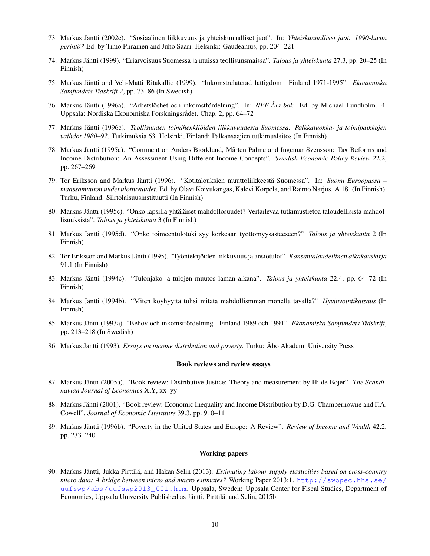- 73. Markus Jäntti (2002c). "Sosiaalinen liikkuvuus ja yhteiskunnalliset jaot". In: *Yhteiskunnalliset jaot. 1990-luvun perintö?* Ed. by Timo Piirainen and Juho Saari. Helsinki: Gaudeamus, pp. 204–221
- 74. Markus Jäntti (1999). "Eriarvoisuus Suomessa ja muissa teollisuusmaissa". *Talous ja yhteiskunta* 27.3, pp. 20–25 (In Finnish)
- 75. Markus Jäntti and Veli-Matti Ritakallio (1999). "Inkomstrelaterad fattigdom i Finland 1971-1995". *Ekonomiska Samfundets Tidskrift* 2, pp. 73–86 (In Swedish)
- 76. Markus Jäntti (1996a). "Arbetslöshet och inkomstfördelning". In: *NEF Års bok*. Ed. by Michael Lundholm. 4. Uppsala: Nordiska Ekonomiska Forskningsrådet. Chap. 2, pp. 64–72
- 77. Markus Jäntti (1996c). *Teollisuuden toimihenkilöiden liikkuvuudesta Suomessa: Palkkaluokka- ja toimipaikkojen vaihdot 1980–92*. Tutkimuksia 63. Helsinki, Finland: Palkansaajien tutkimuslaitos (In Finnish)
- 78. Markus Jäntti (1995a). "Comment on Anders Björklund, Mårten Palme and Ingemar Svensson: Tax Reforms and Income Distribution: An Assessment Using Different Income Concepts". *Swedish Economic Policy Review* 22.2, pp. 267–269
- 79. Tor Eriksson and Markus Jäntti (1996). "Kotitalouksien muuttoliikkeestä Suomessa". In: *Suomi Euroopassa – maassamuuton uudet ulottuvuudet*. Ed. by Olavi Koivukangas, Kalevi Korpela, and Raimo Narjus. A 18. (In Finnish). Turku, Finland: Siirtolaisuusinstituutti (In Finnish)
- 80. Markus Jäntti (1995c). "Onko lapsilla yhtäläiset mahdollosuudet? Vertailevaa tutkimustietoa taloudellisista mahdollisuuksista". *Talous ja yhteiskunta* 3 (In Finnish)
- 81. Markus Jäntti (1995d). "Onko toimeentulotuki syy korkeaan työttömyysasteeseen?" *Talous ja yhteiskunta* 2 (In Finnish)
- 82. Tor Eriksson and Markus Jäntti (1995). "Työntekijöiden liikkuvuus ja ansiotulot". *Kansantaloudellinen aikakauskirja* 91.1 (In Finnish)
- 83. Markus Jäntti (1994c). "Tulonjako ja tulojen muutos laman aikana". *Talous ja yhteiskunta* 22.4, pp. 64–72 (In Finnish)
- 84. Markus Jäntti (1994b). "Miten köyhyyttä tulisi mitata mahdollismman monella tavalla?" *Hyvinvointikatsaus* (In Finnish)
- 85. Markus Jäntti (1993a). "Behov och inkomstfördelning Finland 1989 och 1991". *Ekonomiska Samfundets Tidskrift*, pp. 213–218 (In Swedish)
- 86. Markus Jäntti (1993). *Essays on income distribution and poverty*. Turku: Åbo Akademi University Press

#### Book reviews and review essays

- 87. Markus Jäntti (2005a). "Book review: Distributive Justice: Theory and measurement by Hilde Bojer". *The Scandinavian Journal of Economics* X.Y, xx–yy
- 88. Markus Jäntti (2001). "Book review: Economic Inequality and Income Distribution by D.G. Champernowne and F.A. Cowell". *Journal of Economic Literature* 39.3, pp. 910–11
- 89. Markus Jäntti (1996b). "Poverty in the United States and Europe: A Review". *Review of Income and Wealth* 42.2, pp. 233–240

#### Working papers

90. Markus Jäntti, Jukka Pirttilä, and Håkan Selin (2013). *Estimating labour supply elasticities based on cross-country micro data: A bridge between micro and macro estimates?* Working Paper 2013:1. [http://swopec.hhs.se/](http://swopec.hhs.se/uufswp/abs/uufswp2013_001.htm) [uufswp/abs/uufswp2013\\_001.htm](http://swopec.hhs.se/uufswp/abs/uufswp2013_001.htm). Uppsala, Sweden: Uppsala Center for Fiscal Studies, Department of Economics, Uppsala University Published as Jäntti, Pirttilä, and Selin, [2015b.](#page-0-0)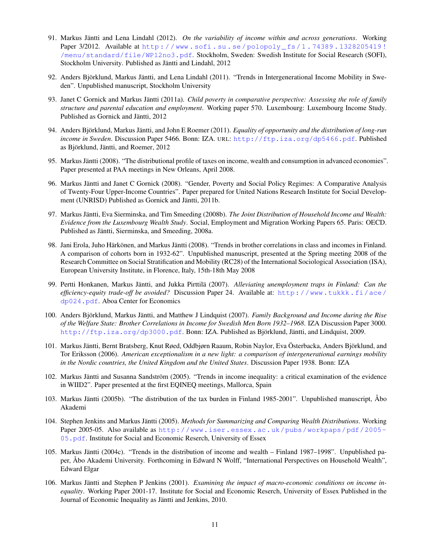- 91. Markus Jäntti and Lena Lindahl (2012). *On the variability of income within and across generations*. Working Paper 3/2012. Available at http://www.sofi.su.se/polopoly\_fs/1.74389.1328205419! [/menu/standard/file/WP12no3.pdf](http://www.sofi.su.se/polopoly_fs/1.74389.1328205419!/menu/standard/file/WP12no3.pdf). Stockholm, Sweden: Swedish Institute for Social Research (SOFI), Stockholm University. Published as Jäntti and Lindahl, [2012](#page-0-0)
- 92. Anders Björklund, Markus Jäntti, and Lena Lindahl (2011). "Trends in Intergenerational Income Mobility in Sweden". Unpublished manuscript, Stockholm University
- 93. Janet C Gornick and Markus Jäntti (2011a). *Child poverty in comparative perspective: Assessing the role of family structure and parental education and employment*. Working paper 570. Luxembourg: Luxembourg Income Study. Published as Gornick and Jäntti, [2012](#page-0-0)
- 94. Anders Björklund, Markus Jäntti, and John E Roemer (2011). *Equality of opportunity and the distribution of long-run income in Sweden*. Discussion Paper 5466. Bonn: IZA. URL: <http://ftp.iza.org/dp5466.pdf>. Published as Björklund, Jäntti, and Roemer, [2012](#page-0-0)
- 95. Markus Jäntti (2008). "The distributional profile of taxes on income, wealth and consumption in advanced economies". Paper presented at PAA meetings in New Orleans, April 2008.
- 96. Markus Jäntti and Janet C Gornick (2008). "Gender, Poverty and Social Policy Regimes: A Comparative Analysis of Twenty-Four Upper-Income Countries". Paper prepared for United Nations Research Institute for Social Development (UNRISD) Published as Gornick and Jäntti, [2011b.](#page-0-0)
- 97. Markus Jäntti, Eva Sierminska, and Tim Smeeding (2008b). *The Joint Distribution of Household Income and Wealth: Evidence from the Luxembourg Wealth Study*. Social, Employment and Migration Working Papers 65. Paris: OECD. Published as Jäntti, Sierminska, and Smeeding, [2008a.](#page-0-0)
- 98. Jani Erola, Juho Härkönen, and Markus Jäntti (2008). "Trends in brother correlations in class and incomes in Finland. A comparison of cohorts born in 1932-62". Unpublished manuscript, presented at the Spring meeting 2008 of the Research Committee on Social Stratification and Mobility (RC28) of the International Sociological Association (ISA), European University Institute, in Florence, Italy, 15th-18th May 2008
- 99. Pertti Honkanen, Markus Jäntti, and Jukka Pirttilä (2007). *Alleviating unemployment traps in Finland: Can the efficiency-equity trade-off be avoided?* Discussion Paper 24. Available at: [http://www.tukkk.fi/ace/](http://www.tukkk.fi/ace/dp024.pdf) [dp024.pdf](http://www.tukkk.fi/ace/dp024.pdf). Aboa Center for Economics
- 100. Anders Björklund, Markus Jäntti, and Matthew J Lindquist (2007). *Family Background and Income during the Rise of the Welfare State: Brother Correlations in Income for Swedish Men Born 1932–1968*. IZA Discussion Paper 3000. <http://ftp.iza.org/dp3000.pdf>. Bonn: IZA. Published as Björklund, Jäntti, and Lindquist, [2009.](#page-0-0)
- 101. Markus Jäntti, Bernt Bratsberg, Knut Røed, Oddbjørn Raaum, Robin Naylor, Eva Österbacka, Anders Björklund, and Tor Eriksson (2006). *American exceptionalism in a new light: a comparison of intergenerational earnings mobility in the Nordic countries, the United Kingdom and the United States*. Discussion Paper 1938. Bonn: IZA
- 102. Markus Jäntti and Susanna Sandström (2005). "Trends in income inequality: a critical examination of the evidence in WIID2". Paper presented at the first EQINEQ meetings, Mallorca, Spain
- 103. Markus Jäntti (2005b). "The distribution of the tax burden in Finland 1985-2001". Unpublished manuscript, Åbo Akademi
- 104. Stephen Jenkins and Markus Jäntti (2005). *Methods for Summarizing and Comparing Wealth Distributions*. Working Paper 2005-05. Also available as [http://www.iser.essex.ac.uk/pubs/workpaps/pdf/2005-](http://www.iser.essex.ac.uk/pubs/workpaps/pdf/2005-05.pdf) [05.pdf](http://www.iser.essex.ac.uk/pubs/workpaps/pdf/2005-05.pdf). Institute for Social and Economic Reserch, University of Essex
- 105. Markus Jäntti (2004c). "Trends in the distribution of income and wealth Finland 1987–1998". Unpublished paper, Åbo Akademi University. Forthcoming in Edward N Wolff, "International Perspectives on Household Wealth", Edward Elgar
- 106. Markus Jäntti and Stephen P Jenkins (2001). *Examining the impact of macro-economic conditions on income inequality*. Working Paper 2001-17. Institute for Social and Economic Reserch, University of Essex Published in the Journal of Economic Inequality as Jäntti and Jenkins, [2010.](#page-0-0)